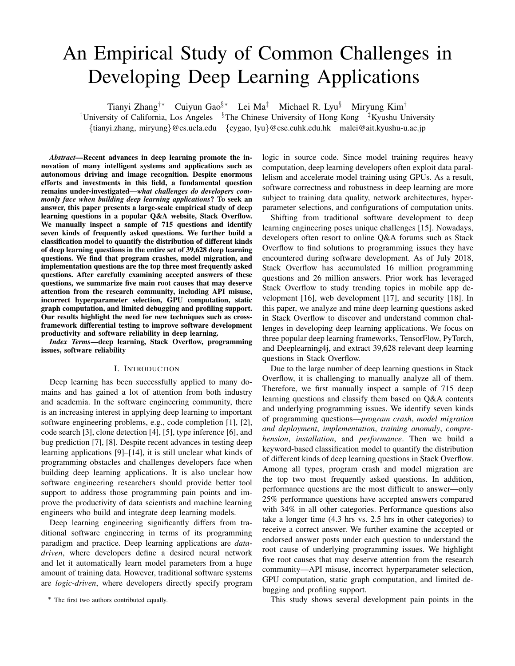# An Empirical Study of Common Challenges in Developing Deep Learning Applications

Tianyi Zhang†∗ Cuiyun Gao§∗ Lei Ma‡ Michael R. Lyu§ Miryung Kim† †University of California, Los Angeles §The Chinese University of Hong Kong ‡Kyushu University {tianyi.zhang, miryung}@cs.ucla.edu {cygao, lyu}@cse.cuhk.edu.hk malei@ait.kyushu-u.ac.jp

*Abstract*—Recent advances in deep learning promote the innovation of many intelligent systems and applications such as autonomous driving and image recognition. Despite enormous efforts and investments in this field, a fundamental question remains under-investigated—*what challenges do developers commonly face when building deep learning applications*? To seek an answer, this paper presents a large-scale empirical study of deep learning questions in a popular Q&A website, Stack Overflow. We manually inspect a sample of 715 questions and identify seven kinds of frequently asked questions. We further build a classification model to quantify the distribution of different kinds of deep learning questions in the entire set of 39,628 deep learning questions. We find that program crashes, model migration, and implementation questions are the top three most frequently asked questions. After carefully examining accepted answers of these questions, we summarize five main root causes that may deserve attention from the research community, including API misuse, incorrect hyperparameter selection, GPU computation, static graph computation, and limited debugging and profiling support. Our results highlight the need for new techniques such as crossframework differential testing to improve software development productivity and software reliability in deep learning.

*Index Terms*—deep learning, Stack Overflow, programming issues, software reliability

## I. INTRODUCTION

Deep learning has been successfully applied to many domains and has gained a lot of attention from both industry and academia. In the software engineering community, there is an increasing interest in applying deep learning to important software engineering problems, e.g., code completion [1], [2], code search [3], clone detection [4], [5], type inference [6], and bug prediction [7], [8]. Despite recent advances in testing deep learning applications [9]–[14], it is still unclear what kinds of programming obstacles and challenges developers face when building deep learning applications. It is also unclear how software engineering researchers should provide better tool support to address those programming pain points and improve the productivity of data scientists and machine learning engineers who build and integrate deep learning models.

Deep learning engineering significantly differs from traditional software engineering in terms of its programming paradigm and practice. Deep learning applications are *datadriven*, where developers define a desired neural network and let it automatically learn model parameters from a huge amount of training data. However, traditional software systems are *logic-driven*, where developers directly specify program

∗ The first two authors contributed equally.

logic in source code. Since model training requires heavy computation, deep learning developers often exploit data parallelism and accelerate model training using GPUs. As a result, software correctness and robustness in deep learning are more subject to training data quality, network architectures, hyperparameter selections, and configurations of computation units.

Shifting from traditional software development to deep learning engineering poses unique challenges [15]. Nowadays, developers often resort to online Q&A forums such as Stack Overflow to find solutions to programming issues they have encountered during software development. As of July 2018, Stack Overflow has accumulated 16 million programming questions and 26 million answers. Prior work has leveraged Stack Overflow to study trending topics in mobile app development [16], web development [17], and security [18]. In this paper, we analyze and mine deep learning questions asked in Stack Overflow to discover and understand common challenges in developing deep learning applications. We focus on three popular deep learning frameworks, TensorFlow, PyTorch, and Deeplearning4j, and extract 39,628 relevant deep learning questions in Stack Overflow.

Due to the large number of deep learning questions in Stack Overflow, it is challenging to manually analyze all of them. Therefore, we first manually inspect a sample of 715 deep learning questions and classify them based on Q&A contents and underlying programming issues. We identify seven kinds of programming questions—*program crash*, *model migration and deployment*, *implementation*, *training anomaly*, *comprehension*, *installation*, and *performance*. Then we build a keyword-based classification model to quantify the distribution of different kinds of deep learning questions in Stack Overflow. Among all types, program crash and model migration are the top two most frequently asked questions. In addition, performance questions are the most difficult to answer—only 25% performance questions have accepted answers compared with 34% in all other categories. Performance questions also take a longer time (4.3 hrs vs. 2.5 hrs in other categories) to receive a correct answer. We further examine the accepted or endorsed answer posts under each question to understand the root cause of underlying programming issues. We highlight five root causes that may deserve attention from the research community—API misuse, incorrect hyperparameter selection, GPU computation, static graph computation, and limited debugging and profiling support.

This study shows several development pain points in the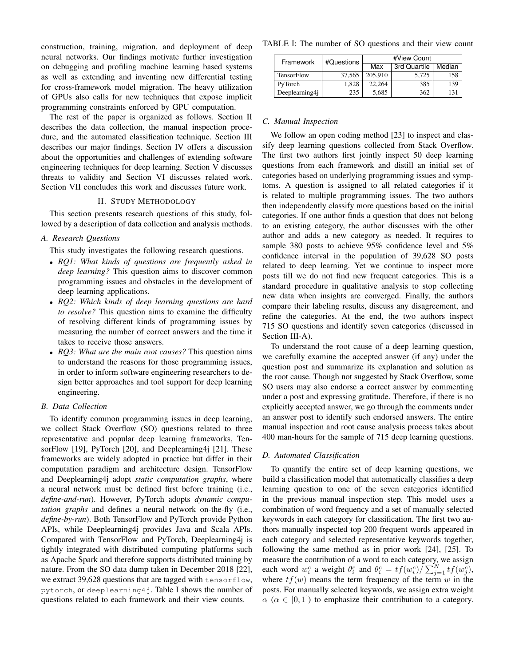construction, training, migration, and deployment of deep neural networks. Our findings motivate further investigation on debugging and profiling machine learning based systems as well as extending and inventing new differential testing for cross-framework model migration. The heavy utilization of GPUs also calls for new techniques that expose implicit programming constraints enforced by GPU computation.

The rest of the paper is organized as follows. Section II describes the data collection, the manual inspection procedure, and the automated classification technique. Section III describes our major findings. Section IV offers a discussion about the opportunities and challenges of extending software engineering techniques for deep learning. Section V discusses threats to validity and Section VI discusses related work. Section VII concludes this work and discusses future work.

## II. STUDY METHODOLOGY

This section presents research questions of this study, followed by a description of data collection and analysis methods.

# *A. Research Questions*

This study investigates the following research questions.

- *RQ1: What kinds of questions are frequently asked in deep learning?* This question aims to discover common programming issues and obstacles in the development of deep learning applications.
- *RQ2: Which kinds of deep learning questions are hard to resolve?* This question aims to examine the difficulty of resolving different kinds of programming issues by measuring the number of correct answers and the time it takes to receive those answers.
- *RQ3: What are the main root causes?* This question aims to understand the reasons for those programming issues, in order to inform software engineering researchers to design better approaches and tool support for deep learning engineering.

# *B. Data Collection*

To identify common programming issues in deep learning, we collect Stack Overflow (SO) questions related to three representative and popular deep learning frameworks, TensorFlow [19], PyTorch [20], and Deeplearning4j [21]. These frameworks are widely adopted in practice but differ in their computation paradigm and architecture design. TensorFlow and Deeplearning4j adopt *static computation graphs*, where a neural network must be defined first before training (i.e., *define-and-run*). However, PyTorch adopts *dynamic computation graphs* and defines a neural network on-the-fly (i.e., *define-by-run*). Both TensorFlow and PyTorch provide Python APIs, while Deeplearning4j provides Java and Scala APIs. Compared with TensorFlow and PyTorch, Deeplearning4j is tightly integrated with distributed computing platforms such as Apache Spark and therefore supports distributed training by nature. From the SO data dump taken in December 2018 [22], we extract 39,628 questions that are tagged with tensorflow. pytorch, or deeplearning4j. Table I shows the number of questions related to each framework and their view counts.

TABLE I: The number of SO questions and their view count

| Framework         | #Questions | #View Count |              |        |  |
|-------------------|------------|-------------|--------------|--------|--|
|                   |            | Max         | 3rd Quartile | Median |  |
| <b>TensorFlow</b> | 37.565     | 205.910     | 5.725        | 158    |  |
| PyTorch           | 1.828      | 22.264      | 385          | 139    |  |
| Deeplearning4j    | 235        | 5,685       | 362          | 131    |  |

## *C. Manual Inspection*

We follow an open coding method [23] to inspect and classify deep learning questions collected from Stack Overflow. The first two authors first jointly inspect 50 deep learning questions from each framework and distill an initial set of categories based on underlying programming issues and symptoms. A question is assigned to all related categories if it is related to multiple programming issues. The two authors then independently classify more questions based on the initial categories. If one author finds a question that does not belong to an existing category, the author discusses with the other author and adds a new category as needed. It requires to sample 380 posts to achieve 95% confidence level and 5% confidence interval in the population of 39,628 SO posts related to deep learning. Yet we continue to inspect more posts till we do not find new frequent categories. This is a standard procedure in qualitative analysis to stop collecting new data when insights are converged. Finally, the authors compare their labeling results, discuss any disagreement, and refine the categories. At the end, the two authors inspect 715 SO questions and identify seven categories (discussed in Section III-A).

To understand the root cause of a deep learning question, we carefully examine the accepted answer (if any) under the question post and summarize its explanation and solution as the root cause. Though not suggested by Stack Overflow, some SO users may also endorse a correct answer by commenting under a post and expressing gratitude. Therefore, if there is no explicitly accepted answer, we go through the comments under an answer post to identify such endorsed answers. The entire manual inspection and root cause analysis process takes about 400 man-hours for the sample of 715 deep learning questions.

## *D. Automated Classification*

To quantify the entire set of deep learning questions, we build a classification model that automatically classifies a deep learning question to one of the seven categories identified in the previous manual inspection step. This model uses a combination of word frequency and a set of manually selected keywords in each category for classification. The first two authors manually inspected top 200 frequent words appeared in each category and selected representative keywords together, following the same method as in prior work [24], [25]. To measure the contribution of a word to each category, we assign each word  $w_i^c$  a weight  $\theta_i^c$  and  $\theta_i^c = tf(w_i^c)/\sum_{j=1}^{N} tf(w_j^c)$ , where  $tf(w)$  means the term frequency of the term w in the posts. For manually selected keywords, we assign extra weight  $\alpha$  ( $\alpha \in [0, 1]$ ) to emphasize their contribution to a category.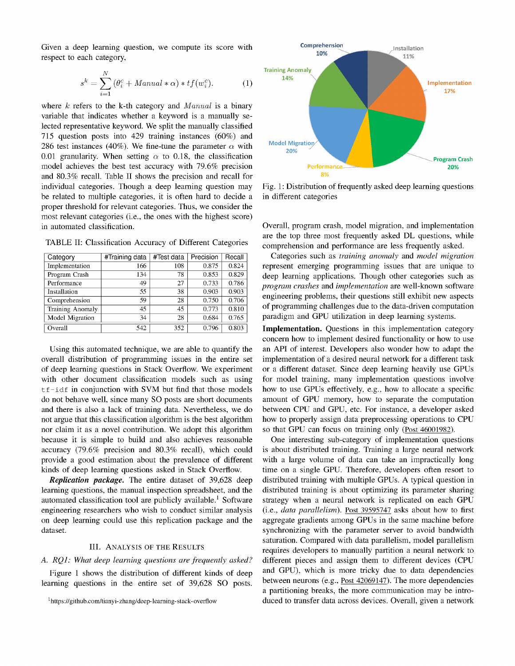Given a deep learning question, we compute its score with respect to each category,

$$
s^{k} = \sum_{i=1}^{N} (\theta_i^c + \text{Manual} * \alpha) * tf(w_i^c).
$$
 (1)

where  $k$  refers to the k-th category and  $Manual$  is a binary variable that indicates whether a keyword is a manually selected representative keyword. We split the manually classified 715 question posts into 429 training instances  $(60\%)$  and 286 test instances (40%). We fine-tune the parameter  $\alpha$  with 0.01 granularity. When setting  $\alpha$  to 0.18, the classification model achieves the best test accuracy with 79.6% precision and 80.3% recall. Table II shows the precision and recall for individual categories. Though a deep learning question may be related to multiple categories, it is often hard to decide a proper threshold for relevant categories. Thus, we consider the most relevant categories (i.e., the ones with the highest score) in automated classification.

TABLE II: Classification Accuracy of Different Categories

| Category         | #Training data | #Test data | Precision | Recall |
|------------------|----------------|------------|-----------|--------|
| Implementation   | 166            | 108        | 0.875     | 0.824  |
| Program Crash    | 134            | 78         | 0.853     | 0.829  |
| Performance      | 49             | 27         | 0.733     | 0.786  |
| Installation     | 55             | 38         | 0.903     | 0.903  |
| Comprehension    | 59             | 28         | 0.750     | 0.706  |
| Training Anomaly | 45             | 45         | 0.773     | 0.810  |
| Model Migration  | 34             | 28         | 0.684     | 0.765  |
| Overall          | 542            | 352        | 0.796     | 0.803  |

Using this automated technique, we are able to quantify the overall distribution of programming issues in the entire set of deep learning questions in Stack Overflow. We experiment with other document classification models such as using tf-idf in conjunction with SVM but find that those models do not behave well, since many SO posts are short documents and there is also a lack of training data. Nevertheless, we do not argue that this classification algorithm is the best algorithm nor claim it as a novel contribution. We adopt this algorithm because it is simple to build and also achieves reasonable accuracy (79.6% precision and 80.3% recall), which could provide a good estimation about the prevalence of different kinds of deep learning questions asked in Stack Overflow.

Replication package. The entire dataset of 39,628 deep learning questions, the manual inspection spreadsheet, and the automated classification tool are publicly available.<sup>1</sup> Software engineering researchers who wish to conduct similar analysis on deep learning could use this replication package and the dataset.

## **III. ANALYSIS OF THE RESULTS**

## A. RQ1: What deep learning questions are frequently asked?

Figure 1 shows the distribution of different kinds of deep learning questions in the entire set of 39,628 SO posts.

<sup>1</sup>https://github.com/tianyi-zhang/deep-learning-stack-overflow



Fig. 1: Distribution of frequently asked deep learning questions in different categories

Overall, program crash, model migration, and implementation are the top three most frequently asked DL questions, while comprehension and performance are less frequently asked.

Categories such as *training anomaly* and *model migration* represent emerging programming issues that are unique to deep learning applications. Though other categories such as program crashes and implementation are well-known software engineering problems, their questions still exhibit new aspects of programming challenges due to the data-driven computation paradigm and GPU utilization in deep learning systems.

**Implementation.** Questions in this implementation category concern how to implement desired functionality or how to use an API of interest. Developers also wonder how to adapt the implementation of a desired neural network for a different task or a different dataset. Since deep learning heavily use GPUs for model training, many implementation questions involve how to use GPUs effectively, e.g., how to allocate a specific amount of GPU memory, how to separate the computation between CPU and GPU, etc. For instance, a developer asked how to properly assign data preprocessing operations to CPU so that GPU can focus on training only (Post 46001982).

One interesting sub-category of implementation questions is about distributed training. Training a large neural network with a large volume of data can take an impractically long time on a single GPU. Therefore, developers often resort to distributed training with multiple GPUs. A typical question in distributed training is about optimizing its parameter sharing strategy when a neural network is replicated on each GPU (i.e., data parallelism). Post 39595747 asks about how to first aggregate gradients among GPUs in the same machine before synchronizing with the parameter server to avoid bandwidth saturation. Compared with data parallelism, model parallelism requires developers to manually partition a neural network to different pieces and assign them to different devices (CPU and GPU), which is more tricky due to data dependencies between neurons (e.g., Post 42069147). The more dependencies a partitioning breaks, the more communication may be introduced to transfer data across devices. Overall, given a network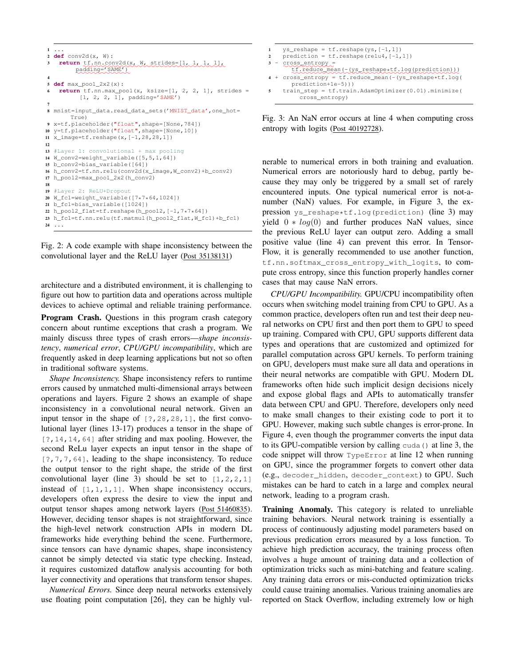```
1 ...
2 def conv2d(x, W):
3 return tf.nn.conv2d(x, W, strides=[1, 1, 1, 1],
         padding='SAME')
4
5 def max_pool_2x2(x):
6 return tf.nn.max_pool(x, ksize=[1, 2, 2, 1], strides =
          [1, 2, 2, 1], padding='SAME')
7
8 mnist=input_data.read_data_sets('MNIST_data',one_hot=
       True)
  9 x=tf.placeholder("float",shape=[None,784])
10 y=tf.placeholder("float",shape=[None,10])
11 x_image=tf.reshape(x,[-1,28,28,1])
12
13 #Layer 1: convolutional + max pooling
14 W_conv2=weight_variable([5,5,1,64])
15 b conv2=bias variable([64])
16 h_conv2=tf.nn.relu(conv2d(x_image,W_conv2)+b_conv2)
17 h_pool2=max_pool_2x2(h_conv2)
18
19 #Layer 2: ReLU+Dropout
20 W_fc1=weight_variable([7*7*64,1024])
21 b_fc1=bias_variable([1024])
22 h_pool2_flat=tf.reshape(h_pool2,[-1,7*7*64])
23 h_fc1=tf.nn.relu(tf.matmul(h_pool2_flat,W_fc1)+b_fc1)
24 ...
```


architecture and a distributed environment, it is challenging to figure out how to partition data and operations across multiple devices to achieve optimal and reliable training performance.

Program Crash. Questions in this program crash category concern about runtime exceptions that crash a program. We mainly discuss three types of crash errors—*shape inconsistency*, *numerical error*, *CPU/GPU incompatibility*, which are frequently asked in deep learning applications but not so often in traditional software systems.

*Shape Inconsistency.* Shape inconsistency refers to runtime errors caused by unmatched multi-dimensional arrays between operations and layers. Figure 2 shows an example of shape inconsistency in a convolutional neural network. Given an input tensor in the shape of [?,28,28,1], the first convolutional layer (lines 13-17) produces a tensor in the shape of [?,14,14,64] after striding and max pooling. However, the second ReLu layer expects an input tensor in the shape of [?,7,7,64], leading to the shape inconsistency. To reduce the output tensor to the right shape, the stride of the first convolutional layer (line 3) should be set to  $[1,2,2,1]$ instead of  $[1,1,1,1]$ . When shape inconsistency occurs, developers often express the desire to view the input and output tensor shapes among network layers (Post 51460835). However, deciding tensor shapes is not straightforward, since the high-level network construction APIs in modern DL frameworks hide everything behind the scene. Furthermore, since tensors can have dynamic shapes, shape inconsistency cannot be simply detected via static type checking. Instead, it requires customized dataflow analysis accounting for both layer connectivity and operations that transform tensor shapes.

*Numerical Errors.* Since deep neural networks extensively use floating point computation [26], they can be highly vul-



Fig. 3: An NaN error occurs at line 4 when computing cross entropy with logits (Post 40192728).

nerable to numerical errors in both training and evaluation. Numerical errors are notoriously hard to debug, partly because they may only be triggered by a small set of rarely encountered inputs. One typical numerical error is not-anumber (NaN) values. For example, in Figure 3, the expression ys\_reshape\*tf.log(prediction) (line 3) may yield  $0 * log(0)$  and further produces NaN values, since the previous ReLU layer can output zero. Adding a small positive value (line 4) can prevent this error. In Tensor-Flow, it is generally recommended to use another function, tf.nn.softmax\_cross\_entropy\_with\_logits, to compute cross entropy, since this function properly handles corner cases that may cause NaN errors.

*CPU/GPU Incompatibility.* GPU/CPU incompatibility often occurs when switching model training from CPU to GPU. As a common practice, developers often run and test their deep neural networks on CPU first and then port them to GPU to speed up training. Compared with CPU, GPU supports different data types and operations that are customized and optimized for parallel computation across GPU kernels. To perform training on GPU, developers must make sure all data and operations in their neural networks are compatible with GPU. Modern DL frameworks often hide such implicit design decisions nicely and expose global flags and APIs to automatically transfer data between CPU and GPU. Therefore, developers only need to make small changes to their existing code to port it to GPU. However, making such subtle changes is error-prone. In Figure 4, even though the programmer converts the input data to its GPU-compatible version by calling cuda() at line 3, the code snippet will throw TypeError at line 12 when running on GPU, since the programmer forgets to convert other data (e.g., decoder\_hidden, decoder\_context) to GPU. Such mistakes can be hard to catch in a large and complex neural network, leading to a program crash.

Training Anomaly. This category is related to unreliable training behaviors. Neural network training is essentially a process of continuously adjusting model parameters based on previous predication errors measured by a loss function. To achieve high prediction accuracy, the training process often involves a huge amount of training data and a collection of optimization tricks such as mini-batching and feature scaling. Any training data errors or mis-conducted optimization tricks could cause training anomalies. Various training anomalies are reported on Stack Overflow, including extremely low or high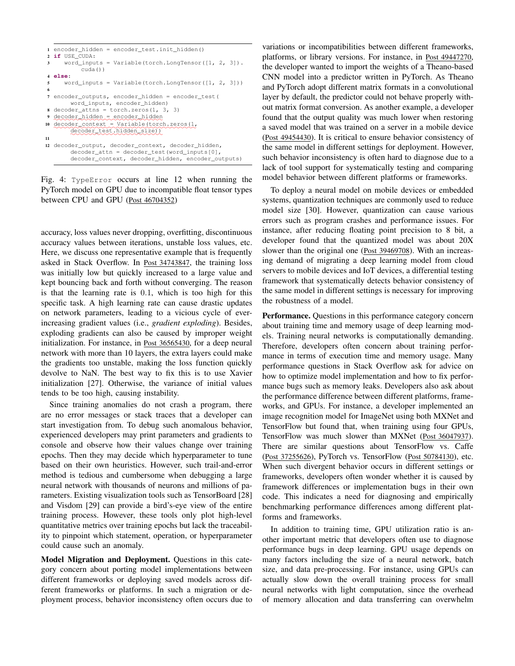```
1 encoder_hidden = encoder_test.init_hidden()
2 if USE_CUDA:
3 word inputs = Variable(torch.LongTensor([1, 2, 3]).
            cuda())
4 else:
5 word inputs = Variable(torch.LongTensor([1, 2, 3]))
 6
7 encoder_outputs, encoder_hidden = encoder_test(
        word_inputs, encoder_hidden)
8 decoder_attns = torch.zeros(1, 3, 3)
 9 ✿✿✿✿✿✿✿✿✿✿✿✿
decoder_hidden ✿
=✿✿✿✿✿✿✿✿✿✿✿✿✿
encoder_hidden
10 ✿✿✿✿✿✿✿✿✿✿✿✿✿
decoder_context ✿
=✿✿✿✿✿✿✿✿✿✿✿✿✿✿✿✿✿✿✿✿
Variable(torch.zeros(1,
        ✿✿✿✿✿✿✿✿✿✿✿✿✿✿✿✿✿✿✿✿✿✿
decoder_test.hidden_size))
11
12 decoder_output, decoder_context, decoder_hidden,
        decoder_attn = decoder_test(word_inputs[0],
        decoder context, decoder hidden, encoder outputs)
```
Fig. 4: TypeError occurs at line 12 when running the PyTorch model on GPU due to incompatible float tensor types between CPU and GPU (Post 46704352)

accuracy, loss values never dropping, overfitting, discontinuous accuracy values between iterations, unstable loss values, etc. Here, we discuss one representative example that is frequently asked in Stack Overflow. In Post 34743847, the training loss was initially low but quickly increased to a large value and kept bouncing back and forth without converging. The reason is that the learning rate is 0.1, which is too high for this specific task. A high learning rate can cause drastic updates on network parameters, leading to a vicious cycle of everincreasing gradient values (i.e., *gradient exploding*). Besides, exploding gradients can also be caused by improper weight initialization. For instance, in Post 36565430, for a deep neural network with more than 10 layers, the extra layers could make the gradients too unstable, making the loss function quickly devolve to NaN. The best way to fix this is to use Xavier initialization [27]. Otherwise, the variance of initial values tends to be too high, causing instability.

Since training anomalies do not crash a program, there are no error messages or stack traces that a developer can start investigation from. To debug such anomalous behavior, experienced developers may print parameters and gradients to console and observe how their values change over training epochs. Then they may decide which hyperparameter to tune based on their own heuristics. However, such trail-and-error method is tedious and cumbersome when debugging a large neural network with thousands of neurons and millions of parameters. Existing visualization tools such as TensorBoard [28] and Visdom [29] can provide a bird's-eye view of the entire training process. However, these tools only plot high-level quantitative metrics over training epochs but lack the traceability to pinpoint which statement, operation, or hyperparameter could cause such an anomaly.

Model Migration and Deployment. Questions in this category concern about porting model implementations between different frameworks or deploying saved models across different frameworks or platforms. In such a migration or deployment process, behavior inconsistency often occurs due to

variations or incompatibilities between different frameworks, platforms, or library versions. For instance, in Post 49447270, the developer wanted to import the weights of a Theano-based CNN model into a predictor written in PyTorch. As Theano and PyTorch adopt different matrix formats in a convolutional layer by default, the predictor could not behave properly without matrix format conversion. As another example, a developer found that the output quality was much lower when restoring a saved model that was trained on a server in a mobile device (Post 49454430). It is critical to ensure behavior consistency of the same model in different settings for deployment. However, such behavior inconsistency is often hard to diagnose due to a lack of tool support for systematically testing and comparing model behavior between different platforms or frameworks.

To deploy a neural model on mobile devices or embedded systems, quantization techniques are commonly used to reduce model size [30]. However, quantization can cause various errors such as program crashes and performance issues. For instance, after reducing floating point precision to 8 bit, a developer found that the quantized model was about 20X slower than the original one (Post 39469708). With an increasing demand of migrating a deep learning model from cloud servers to mobile devices and IoT devices, a differential testing framework that systematically detects behavior consistency of the same model in different settings is necessary for improving the robustness of a model.

Performance. Questions in this performance category concern about training time and memory usage of deep learning models. Training neural networks is computationally demanding. Therefore, developers often concern about training performance in terms of execution time and memory usage. Many performance questions in Stack Overflow ask for advice on how to optimize model implementation and how to fix performance bugs such as memory leaks. Developers also ask about the performance difference between different platforms, frameworks, and GPUs. For instance, a developer implemented an image recognition model for ImageNet using both MXNet and TensorFlow but found that, when training using four GPUs, TensorFlow was much slower than MXNet (Post 36047937). There are similar questions about TensorFlow vs. Caffe (Post 37255626), PyTorch vs. TensorFlow (Post 50784130), etc. When such divergent behavior occurs in different settings or frameworks, developers often wonder whether it is caused by framework differences or implementation bugs in their own code. This indicates a need for diagnosing and empirically benchmarking performance differences among different platforms and frameworks.

In addition to training time, GPU utilization ratio is another important metric that developers often use to diagnose performance bugs in deep learning. GPU usage depends on many factors including the size of a neural network, batch size, and data pre-processing. For instance, using GPUs can actually slow down the overall training process for small neural networks with light computation, since the overhead of memory allocation and data transferring can overwhelm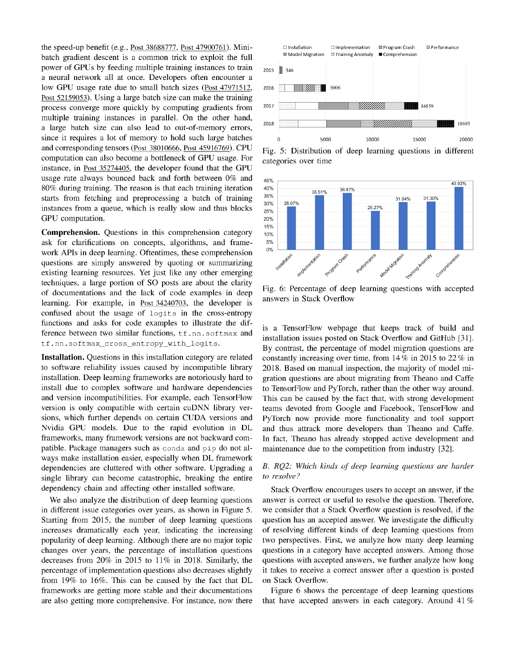the speed-up benefit (e.g., Post 38688777, Post 47900761). Minibatch gradient descent is a common trick to exploit the full power of GPUs by feeding multiple training instances to train a neural network all at once. Developers often encounter a low GPU usage rate due to small batch sizes (Post 47971512, Post 52159053). Using a large batch size can make the training process converge more quickly by computing gradients from multiple training instances in parallel. On the other hand, a large batch size can also lead to out-of-memory errors, since it requires a lot of memory to hold such large batches and corresponding tensors (Post 38010666, Post 45916769). CPU computation can also become a bottleneck of GPU usage. For instance, in Post 35274405, the developer found that the GPU usage rate always bounced back and forth between 0% and 80% during training. The reason is that each training iteration starts from fetching and preprocessing a batch of training instances from a queue, which is really slow and thus blocks GPU computation.

Comprehension. Questions in this comprehension category ask for clarifications on concepts, algorithms, and framework APIs in deep learning. Oftentimes, these comprehension questions are simply answered by quoting or summarizing existing learning resources. Yet just like any other emerging techniques, a large portion of SO posts are about the clarity of documentations and the lack of code examples in deep learning. For example, in Post 34240703, the developer is confused about the usage of logits in the cross-entropy functions and asks for code examples to illustrate the difference between two similar functions, tf.nn.softmax and tf.nn.softmax\_cross\_entropy\_with\_logits.

Installation. Questions in this installation category are related to software reliability issues caused by incompatible library installation. Deep learning frameworks are notoriously hard to install due to complex software and hardware dependencies and version incompatibilities. For example, each TensorFlow version is only compatible with certain cuDNN library versions, which further depends on certain CUDA versions and Nvidia GPU models. Due to the rapid evolution in DL frameworks, many framework versions are not backward compatible. Package managers such as conda and pip do not always make installation easier, especially when DL framework dependencies are cluttered with other software. Upgrading a single library can become catastrophic, breaking the entire dependency chain and affecting other installed software.

We also analyze the distribution of deep learning questions in different issue categories over years, as shown in Figure 5. Starting from 2015, the number of deep learning questions increases dramatically each year, indicating the increasing popularity of deep learning. Although there are no major topic changes over years, the percentage of installation questions decreases from 20% in 2015 to 11% in 2018. Similarly, the percentage of implementation questions also decreases slightly from 19% to 16%. This can be caused by the fact that DL frameworks are getting more stable and their documentations are also getting more comprehensive. For instance, now there



Fig. 5: Distribution of deep learning questions in different categories over time



Fig. 6: Percentage of deep learning questions with accepted answers in Stack Overflow

is a TensorFlow webpage that keeps track of build and installation issues posted on Stack Overflow and GitHub [31]. By contrast, the percentage of model migration questions are constantly increasing over time, from  $14\%$  in 2015 to 22 % in 2018. Based on manual inspection, the majority of model migration questions are about migrating from Theano and Caffe to TensorFlow and PyTorch, rather than the other way around. This can be caused by the fact that, with strong development teams devoted from Google and Facebook, TensorFlow and PyTorch now provide more functionality and tool support and thus attrack more developers than Theano and Caffe. In fact, Theano has already stopped active development and maintenance due to the competition from industry [32].

# B. RQ2: Which kinds of deep learning questions are harder to resolve?

Stack Overflow encourages users to accept an answer, if the answer is correct or useful to resolve the question. Therefore, we consider that a Stack Overflow question is resolved, if the question has an accepted answer. We investigate the difficulty of resolving different kinds of deep learning questions from two perspectives. First, we analyze how many deep learning questions in a category have accepted answers. Among those questions with accepted answers, we further analyze how long it takes to receive a correct answer after a question is posted on Stack Overflow.

Figure 6 shows the percentage of deep learning questions that have accepted answers in each category. Around 41  $%$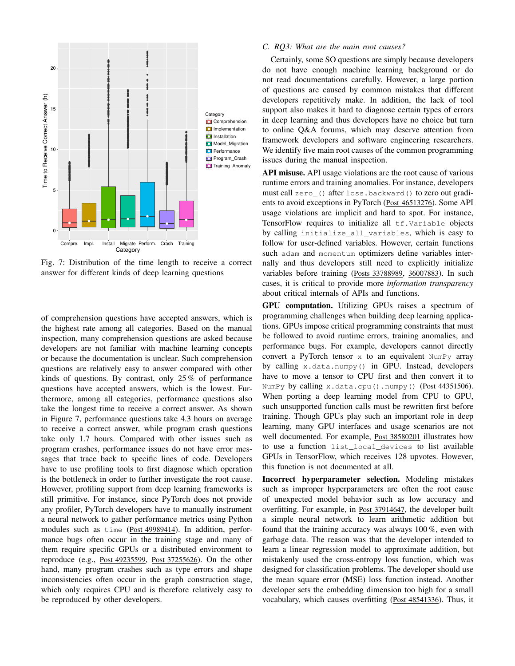

Fig. 7: Distribution of the time length to receive a correct answer for different kinds of deep learning questions

of comprehension questions have accepted answers, which is the highest rate among all categories. Based on the manual inspection, many comprehension questions are asked because developers are not familiar with machine learning concepts or because the documentation is unclear. Such comprehension questions are relatively easy to answer compared with other kinds of questions. By contrast, only 25 % of performance questions have accepted answers, which is the lowest. Furthermore, among all categories, performance questions also take the longest time to receive a correct answer. As shown in Figure 7, performance questions take 4.3 hours on average to receive a correct answer, while program crash questions take only 1.7 hours. Compared with other issues such as program crashes, performance issues do not have error messages that trace back to specific lines of code. Developers have to use profiling tools to first diagnose which operation is the bottleneck in order to further investigate the root cause. However, profiling support from deep learning frameworks is still primitive. For instance, since PyTorch does not provide any profiler, PyTorch developers have to manually instrument a neural network to gather performance metrics using Python modules such as time (Post 49989414). In addition, performance bugs often occur in the training stage and many of them require specific GPUs or a distributed environment to reproduce (e.g., Post 49235599, Post 37255626). On the other hand, many program crashes such as type errors and shape inconsistencies often occur in the graph construction stage, which only requires CPU and is therefore relatively easy to be reproduced by other developers.

## *C. RQ3: What are the main root causes?*

Certainly, some SO questions are simply because developers do not have enough machine learning background or do not read documentations carefully. However, a large portion of questions are caused by common mistakes that different developers repetitively make. In addition, the lack of tool support also makes it hard to diagnose certain types of errors in deep learning and thus developers have no choice but turn to online Q&A forums, which may deserve attention from framework developers and software engineering researchers. We identify five main root causes of the common programming issues during the manual inspection.

API misuse. API usage violations are the root cause of various runtime errors and training anomalies. For instance, developers must call zero\_() after loss.backward() to zero out gradients to avoid exceptions in PyTorch (Post 46513276). Some API usage violations are implicit and hard to spot. For instance, TensorFlow requires to initialize all tf.Variable objects by calling initialize\_all\_variables, which is easy to follow for user-defined variables. However, certain functions such adam and momentum optimizers define variables internally and thus developers still need to explicitly initialize variables before training (Posts 33788989, 36007883). In such cases, it is critical to provide more *information transparency* about critical internals of APIs and functions.

GPU computation. Utilizing GPUs raises a spectrum of programming challenges when building deep learning applications. GPUs impose critical programming constraints that must be followed to avoid runtime errors, training anomalies, and performance bugs. For example, developers cannot directly convert a PyTorch tensor  $x$  to an equivalent NumPy array by calling x.data.numpy() in GPU. Instead, developers have to move a tensor to CPU first and then convert it to NumPy by calling  $x$ .data.cpu().numpy() (Post 44351506). When porting a deep learning model from CPU to GPU, such unsupported function calls must be rewritten first before training. Though GPUs play such an important role in deep learning, many GPU interfaces and usage scenarios are not well documented. For example, Post 38580201 illustrates how to use a function list\_local\_devices to list available GPUs in TensorFlow, which receives 128 upvotes. However, this function is not documented at all.

Incorrect hyperparameter selection. Modeling mistakes such as improper hyperparameters are often the root cause of unexpected model behavior such as low accuracy and overfitting. For example, in Post 37914647, the developer built a simple neural network to learn arithmetic addition but found that the training accuracy was always 100 %, even with garbage data. The reason was that the developer intended to learn a linear regression model to approximate addition, but mistakenly used the cross-entropy loss function, which was designed for classification problems. The developer should use the mean square error (MSE) loss function instead. Another developer sets the embedding dimension too high for a small vocabulary, which causes overfitting (Post 48541336). Thus, it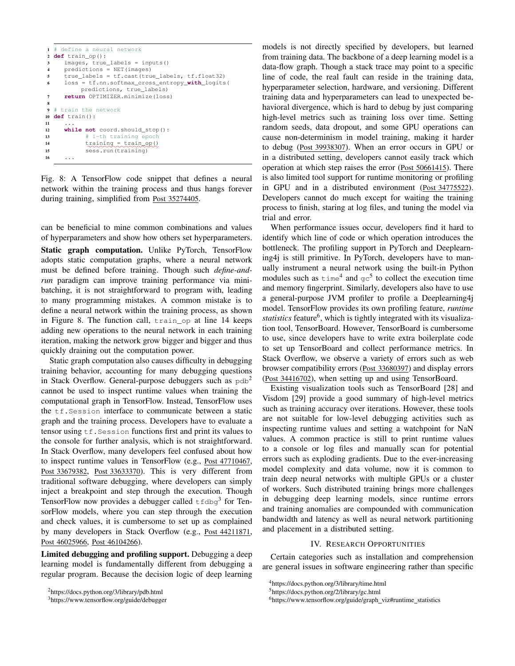```
1 # define a neural network
2 def train_op():
3 images, true labels = inputs()
4 predictions = NET(images)
5 true_labels = tf.cast(true_labels, tf.float32)
6 loss = tf.nn.softmax_cross_entropy_with_logits(
              predictions, true_labels)
7 return OPTIMIZER.minimize(loss)
8
9 # train the network
10 def train():
1112 while not coord.should_stop():
13 \qquad \qquad \qquad \qquad \qquad \qquad \qquad \qquad \qquad \qquad \qquad \qquad \qquad \qquad \qquad \qquad \qquad \qquad \qquad \qquad \qquad \qquad \qquad \qquad \qquad \qquad \qquad \qquad \qquad \qquad \qquad \qquad \qquad \qquad \qquad \qquad 
14 training = train_op()
15 sess.run(training)
16 ...
```
Fig. 8: A TensorFlow code snippet that defines a neural network within the training process and thus hangs forever during training, simplified from Post 35274405.

can be beneficial to mine common combinations and values of hyperparameters and show how others set hyperparameters.

Static graph computation. Unlike PyTorch, TensorFlow adopts static computation graphs, where a neural network must be defined before training. Though such *define-andrun* paradigm can improve training performance via minibatching, it is not straightforward to program with, leading to many programming mistakes. A common mistake is to define a neural network within the training process, as shown in Figure 8. The function call, train\_op at line 14 keeps adding new operations to the neural network in each training iteration, making the network grow bigger and bigger and thus quickly draining out the computation power.

Static graph computation also causes difficulty in debugging training behavior, accounting for many debugging questions in Stack Overflow. General-purpose debuggers such as  $pdb^2$ cannot be used to inspect runtime values when training the computational graph in TensorFlow. Instead, TensorFlow uses the tf.Session interface to communicate between a static graph and the training process. Developers have to evaluate a tensor using  $tf$ . Session functions first and print its values to the console for further analysis, which is not straightforward. In Stack Overflow, many developers feel confused about how to inspect runtime values in TensorFlow (e.g., Post 47710467, Post 33679382, Post 33633370). This is very different from traditional software debugging, where developers can simply inject a breakpoint and step through the execution. Though TensorFlow now provides a debugger called  $t_f$ dbg<sup>3</sup> for TensorFlow models, where you can step through the execution and check values, it is cumbersome to set up as complained by many developers in Stack Overflow (e.g., Post 44211871, Post 46025966, Post 46104266).

Limited debugging and profiling support. Debugging a deep learning model is fundamentally different from debugging a regular program. Because the decision logic of deep learning

models is not directly specified by developers, but learned from training data. The backbone of a deep learning model is a data-flow graph. Though a stack trace may point to a specific line of code, the real fault can reside in the training data, hyperparameter selection, hardware, and versioning. Different training data and hyperparameters can lead to unexpected behavioral divergence, which is hard to debug by just comparing high-level metrics such as training loss over time. Setting random seeds, data dropout, and some GPU operations can cause non-determinism in model training, making it harder to debug (Post 39938307). When an error occurs in GPU or in a distributed setting, developers cannot easily track which operation at which step raises the error (Post 50661415). There is also limited tool support for runtime monitoring or profiling in GPU and in a distributed environment (Post 34775522). Developers cannot do much except for waiting the training process to finish, staring at log files, and tuning the model via trial and error.

When performance issues occur, developers find it hard to identify which line of code or which operation introduces the bottleneck. The profiling support in PyTorch and Deeplearning4j is still primitive. In PyTorch, developers have to manually instrument a neural network using the built-in Python modules such as  $\times$  time<sup>4</sup> and  $\sigma c^5$  to collect the execution time and memory fingerprint. Similarly, developers also have to use a general-purpose JVM profiler to profile a Deeplearning4j model. TensorFlow provides its own profiling feature, *runtime* statistics feature<sup>6</sup>, which is tightly integrated with its visualization tool, TensorBoard. However, TensorBoard is cumbersome to use, since developers have to write extra boilerplate code to set up TensorBoard and collect performance metrics. In Stack Overflow, we observe a variety of errors such as web browser compatibility errors (Post 33680397) and display errors (Post 34416702), when setting up and using TensorBoard.

Existing visualization tools such as TensorBoard [28] and Visdom [29] provide a good summary of high-level metrics such as training accuracy over iterations. However, these tools are not suitable for low-level debugging activities such as inspecting runtime values and setting a watchpoint for NaN values. A common practice is still to print runtime values to a console or log files and manually scan for potential errors such as exploding gradients. Due to the ever-increasing model complexity and data volume, now it is common to train deep neural networks with multiple GPUs or a cluster of workers. Such distributed training brings more challenges in debugging deep learning models, since runtime errors and training anomalies are compounded with communication bandwidth and latency as well as neural network partitioning and placement in a distributed setting.

### IV. RESEARCH OPPORTUNITIES

Certain categories such as installation and comprehension are general issues in software engineering rather than specific

<sup>2</sup>https://docs.python.org/3/library/pdb.html

<sup>3</sup>https://www.tensorflow.org/guide/debugger

<sup>4</sup>https://docs.python.org/3/library/time.html

<sup>5</sup>https://docs.python.org/2/library/gc.html

 $6$ https://www.tensorflow.org/guide/graph\_viz#runtime\_statistics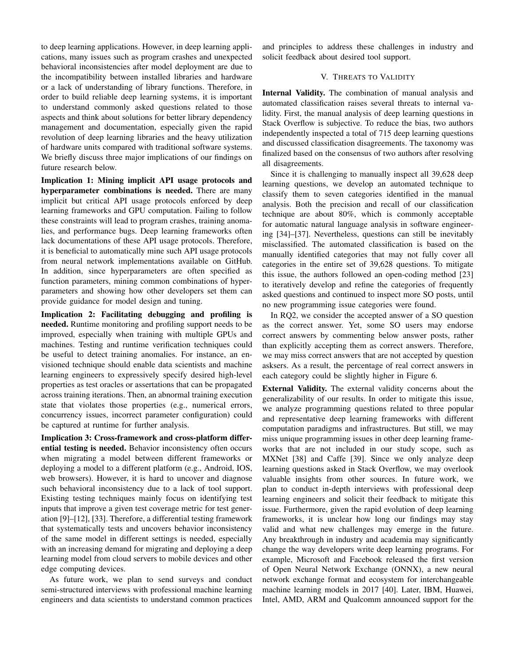to deep learning applications. However, in deep learning applications, many issues such as program crashes and unexpected behavioral inconsistencies after model deployment are due to the incompatibility between installed libraries and hardware or a lack of understanding of library functions. Therefore, in order to build reliable deep learning systems, it is important to understand commonly asked questions related to those aspects and think about solutions for better library dependency management and documentation, especially given the rapid revolution of deep learning libraries and the heavy utilization of hardware units compared with traditional software systems. We briefly discuss three major implications of our findings on future research below.

Implication 1: Mining implicit API usage protocols and hyperparameter combinations is needed. There are many implicit but critical API usage protocols enforced by deep learning frameworks and GPU computation. Failing to follow these constraints will lead to program crashes, training anomalies, and performance bugs. Deep learning frameworks often lack documentations of these API usage protocols. Therefore, it is beneficial to automatically mine such API usage protocols from neural network implementations available on GitHub. In addition, since hyperparameters are often specified as function parameters, mining common combinations of hyperparameters and showing how other developers set them can provide guidance for model design and tuning.

Implication 2: Facilitating debugging and profiling is needed. Runtime monitoring and profiling support needs to be improved, especially when training with multiple GPUs and machines. Testing and runtime verification techniques could be useful to detect training anomalies. For instance, an envisioned technique should enable data scientists and machine learning engineers to expressively specify desired high-level properties as test oracles or assertations that can be propagated across training iterations. Then, an abnormal training execution state that violates those properties (e.g., numerical errors, concurrency issues, incorrect parameter configuration) could be captured at runtime for further analysis.

Implication 3: Cross-framework and cross-platform differential testing is needed. Behavior inconsistency often occurs when migrating a model between different frameworks or deploying a model to a different platform (e.g., Android, IOS, web browsers). However, it is hard to uncover and diagnose such behavioral inconsistency due to a lack of tool support. Existing testing techniques mainly focus on identifying test inputs that improve a given test coverage metric for test generation [9]–[12], [33]. Therefore, a differential testing framework that systematically tests and uncovers behavior inconsistency of the same model in different settings is needed, especially with an increasing demand for migrating and deploying a deep learning model from cloud servers to mobile devices and other edge computing devices.

As future work, we plan to send surveys and conduct semi-structured interviews with professional machine learning engineers and data scientists to understand common practices

and principles to address these challenges in industry and solicit feedback about desired tool support.

## V. THREATS TO VALIDITY

Internal Validity. The combination of manual analysis and automated classification raises several threats to internal validity. First, the manual analysis of deep learning questions in Stack Overflow is subjective. To reduce the bias, two authors independently inspected a total of 715 deep learning questions and discussed classification disagreements. The taxonomy was finalized based on the consensus of two authors after resolving all disagreements.

Since it is challenging to manually inspect all 39,628 deep learning questions, we develop an automated technique to classify them to seven categories identified in the manual analysis. Both the precision and recall of our classification technique are about 80%, which is commonly acceptable for automatic natural language analysis in software engineering [34]–[37]. Nevertheless, questions can still be inevitably misclassified. The automated classification is based on the manually identified categories that may not fully cover all categories in the entire set of 39,628 questions. To mitigate this issue, the authors followed an open-coding method [23] to iteratively develop and refine the categories of frequently asked questions and continued to inspect more SO posts, until no new programming issue categories were found.

In RQ2, we consider the accepted answer of a SO question as the correct answer. Yet, some SO users may endorse correct answers by commenting below answer posts, rather than explicitly accepting them as correct answers. Therefore, we may miss correct answers that are not accepted by question asksers. As a result, the percentage of real correct answers in each category could be slightly higher in Figure 6.

External Validity. The external validity concerns about the generalizability of our results. In order to mitigate this issue, we analyze programming questions related to three popular and representative deep learning frameworks with different computation paradigms and infrastructures. But still, we may miss unique programming issues in other deep learning frameworks that are not included in our study scope, such as MXNet [38] and Caffe [39]. Since we only analyze deep learning questions asked in Stack Overflow, we may overlook valuable insights from other sources. In future work, we plan to conduct in-depth interviews with professional deep learning engineers and solicit their feedback to mitigate this issue. Furthermore, given the rapid evolution of deep learning frameworks, it is unclear how long our findings may stay valid and what new challenges may emerge in the future. Any breakthrough in industry and academia may significantly change the way developers write deep learning programs. For example, Microsoft and Facebook released the first version of Open Neural Network Exchange (ONNX), a new neural network exchange format and ecosystem for interchangeable machine learning models in 2017 [40]. Later, IBM, Huawei, Intel, AMD, ARM and Qualcomm announced support for the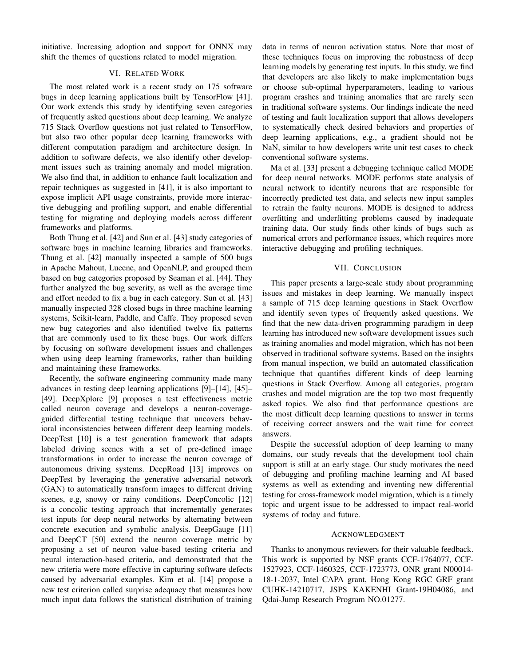initiative. Increasing adoption and support for ONNX may shift the themes of questions related to model migration.

# VI. RELATED WORK

The most related work is a recent study on 175 software bugs in deep learning applications built by TensorFlow [41]. Our work extends this study by identifying seven categories of frequently asked questions about deep learning. We analyze 715 Stack Overflow questions not just related to TensorFlow, but also two other popular deep learning frameworks with different computation paradigm and architecture design. In addition to software defects, we also identify other development issues such as training anomaly and model migration. We also find that, in addition to enhance fault localization and repair techniques as suggested in [41], it is also important to expose implicit API usage constraints, provide more interactive debugging and profiling support, and enable differential testing for migrating and deploying models across different frameworks and platforms.

Both Thung et al. [42] and Sun et al. [43] study categories of software bugs in machine learning libraries and frameworks. Thung et al. [42] manually inspected a sample of 500 bugs in Apache Mahout, Lucene, and OpenNLP, and grouped them based on bug categories proposed by Seaman et al. [44]. They further analyzed the bug severity, as well as the average time and effort needed to fix a bug in each category. Sun et al. [43] manually inspected 328 closed bugs in three machine learning systems, Scikit-learn, Paddle, and Caffe. They proposed seven new bug categories and also identified twelve fix patterns that are commonly used to fix these bugs. Our work differs by focusing on software development issues and challenges when using deep learning frameworks, rather than building and maintaining these frameworks.

Recently, the software engineering community made many advances in testing deep learning applications [9]–[14], [45]– [49]. DeepXplore [9] proposes a test effectiveness metric called neuron coverage and develops a neuron-coverageguided differential testing technique that uncovers behavioral inconsistencies between different deep learning models. DeepTest [10] is a test generation framework that adapts labeled driving scenes with a set of pre-defined image transformations in order to increase the neuron coverage of autonomous driving systems. DeepRoad [13] improves on DeepTest by leveraging the generative adversarial network (GAN) to automatically transform images to different driving scenes, e.g, snowy or rainy conditions. DeepConcolic [12] is a concolic testing approach that incrementally generates test inputs for deep neural networks by alternating between concrete execution and symbolic analysis. DeepGauge [11] and DeepCT [50] extend the neuron coverage metric by proposing a set of neuron value-based testing criteria and neural interaction-based criteria, and demonstrated that the new criteria were more effective in capturing software defects caused by adversarial examples. Kim et al. [14] propose a new test criterion called surprise adequacy that measures how much input data follows the statistical distribution of training data in terms of neuron activation status. Note that most of these techniques focus on improving the robustness of deep learning models by generating test inputs. In this study, we find that developers are also likely to make implementation bugs or choose sub-optimal hyperparameters, leading to various program crashes and training anomalies that are rarely seen in traditional software systems. Our findings indicate the need of testing and fault localization support that allows developers to systematically check desired behaviors and properties of deep learning applications, e.g., a gradient should not be NaN, similar to how developers write unit test cases to check conventional software systems.

Ma et al. [33] present a debugging technique called MODE for deep neural networks. MODE performs state analysis of neural network to identify neurons that are responsible for incorrectly predicted test data, and selects new input samples to retrain the faulty neurons. MODE is designed to address overfitting and underfitting problems caused by inadequate training data. Our study finds other kinds of bugs such as numerical errors and performance issues, which requires more interactive debugging and profiling techniques.

## VII. CONCLUSION

This paper presents a large-scale study about programming issues and mistakes in deep learning. We manually inspect a sample of 715 deep learning questions in Stack Overflow and identify seven types of frequently asked questions. We find that the new data-driven programming paradigm in deep learning has introduced new software development issues such as training anomalies and model migration, which has not been observed in traditional software systems. Based on the insights from manual inspection, we build an automated classification technique that quantifies different kinds of deep learning questions in Stack Overflow. Among all categories, program crashes and model migration are the top two most frequently asked topics. We also find that performance questions are the most difficult deep learning questions to answer in terms of receiving correct answers and the wait time for correct answers.

Despite the successful adoption of deep learning to many domains, our study reveals that the development tool chain support is still at an early stage. Our study motivates the need of debugging and profiling machine learning and AI based systems as well as extending and inventing new differential testing for cross-framework model migration, which is a timely topic and urgent issue to be addressed to impact real-world systems of today and future.

#### ACKNOWLEDGMENT

Thanks to anonymous reviewers for their valuable feedback. This work is supported by NSF grants CCF-1764077, CCF-1527923, CCF-1460325, CCF-1723773, ONR grant N00014- 18-1-2037, Intel CAPA grant, Hong Kong RGC GRF grant CUHK-14210717, JSPS KAKENHI Grant-19H04086, and Qdai-Jump Research Program NO.01277.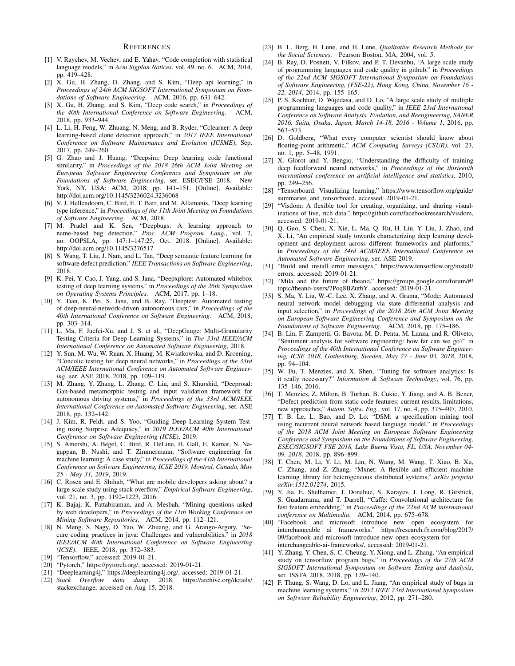## **REFERENCES**

- [1] V. Raychev, M. Vechev, and E. Yahav, "Code completion with statistical language models," in *Acm Sigplan Notices*, vol. 49, no. 6. ACM, 2014, pp. 419–428.
- [2] X. Gu, H. Zhang, D. Zhang, and S. Kim, "Deep api learning," in *Proceedings of 24th ACM SIGSOFT International Symposium on Foundations of Software Engineering*. ACM, 2016, pp. 631–642.
- [3] X. Gu, H. Zhang, and S. Kim, "Deep code search," in *Proceedings of the 40th International Conference on Software Engineering*. ACM, 2018, pp. 933–944.
- [4] L. Li, H. Feng, W. Zhuang, N. Meng, and B. Ryder, "Cclearner: A deep learning-based clone detection approach," in *2017 IEEE International Conference on Software Maintenance and Evolution (ICSME)*, Sep. 2017, pp. 249–260.
- [5] G. Zhao and J. Huang, "Deepsim: Deep learning code functional similarity," in *Proceedings of the 2018 26th ACM Joint Meeting on European Software Engineering Conference and Symposium on the Foundations of Software Engineering*, ser. ESEC/FSE 2018. New York, NY, USA: ACM, 2018, pp. 141–151. [Online]. Available: http://doi.acm.org/10.1145/3236024.3236068
- [6] V. J. Hellendoorn, C. Bird, E. T. Barr, and M. Allamanis, "Deep learning type inference," in *Proceedings of the 11th Joint Meeting on Foundations of Software Engineering*. ACM, 2018.
- [7] M. Pradel and K. Sen, "Deepbugs: A learning approach to name-based bug detection," *Proc. ACM Program. Lang.*, vol. 2, no. OOPSLA, pp. 147:1–147:25, Oct. 2018. [Online]. Available: http://doi.acm.org/10.1145/3276517
- [8] S. Wang, T. Liu, J. Nam, and L. Tan, "Deep semantic feature learning for software defect prediction," *IEEE Transactions on Software Engineering*, 2018.
- [9] K. Pei, Y. Cao, J. Yang, and S. Jana, "Deepxplore: Automated whitebox testing of deep learning systems," in *Proceedings of the 26th Symposium on Operating Systems Principles*. ACM, 2017, pp. 1–18.
- [10] Y. Tian, K. Pei, S. Jana, and B. Ray, "Deeptest: Automated testing of deep-neural-network-driven autonomous cars," in *Proceedings of the 40th International Conference on Software Engineering*. ACM, 2018, pp. 303–314.
- [11] L. Ma, F. Juefei-Xu, and J. S. et al., "DeepGauge: Multi-Granularity Testing Criteria for Deep Learning Systems," in *The 33rd IEEE/ACM International Conference on Automated Software Engineering*, 2018.
- [12] Y. Sun, M. Wu, W. Ruan, X. Huang, M. Kwiatkowska, and D. Kroening, "Concolic testing for deep neural networks," in *Proceedings of the 33rd ACM/IEEE International Conference on Automated Software Engineering*, ser. ASE 2018, 2018, pp. 109–119.
- [13] M. Zhang, Y. Zhang, L. Zhang, C. Liu, and S. Khurshid, "Deeproad: Gan-based metamorphic testing and input validation framework for autonomous driving systems," in *Proceedings of the 33rd ACM/IEEE International Conference on Automated Software Engineering*, ser. ASE 2018, pp. 132–142.
- [14] J. Kim, R. Feldt, and S. Yoo, "Guiding Deep Learning System Testing using Surprise Adequacy," in *2019 IEEE/ACM 40th International Conference on Software Engineering (ICSE)*, 2019.
- [15] S. Amershi, A. Begel, C. Bird, R. DeLine, H. Gall, E. Kamar, N. Nagappan, B. Nushi, and T. Zimmermann, "Software engineering for machine learning: A case study," in *Proceedings of the 41th International Conference on Software Engineering, ICSE 2019, Montral, Canada, May 25 - May 31, 2019*, 2019.
- [16] C. Rosen and E. Shihab, "What are mobile developers asking about? a large scale study using stack overflow," *Empirical Software Engineering*, vol. 21, no. 3, pp. 1192–1223, 2016.
- [17] K. Bajaj, K. Pattabiraman, and A. Mesbah, "Mining questions asked by web developers," in *Proceedings of the 11th Working Conference on Mining Software Repositories*. ACM, 2014, pp. 112–121.
- [18] N. Meng, S. Nagy, D. Yao, W. Zhuang, and G. Arango-Argoty, "Secure coding practices in java: Challenges and vulnerabilities," in *2018 IEEE/ACM 40th International Conference on Software Engineering (ICSE)*. IEEE, 2018, pp. 372–383.
- [19] "Tensorflow," accessed: 2019-01-21.
- [20] "Pytorch," https://pytorch.org/, accessed: 2019-01-21.
- [21] "Deeplearning4j," https://deeplearning4j.org/, accessed: 2019-01-21.
- [22] *Stack Overflow data dump*, 2018, https://archive.org/details/ stackexchange, accessed on Aug 15, 2018.
- [23] B. L. Berg, H. Lune, and H. Lune, *Qualitative Research Methods for the Social Sciences*. Pearson Boston, MA, 2004, vol. 5.
- [24] B. Ray, D. Posnett, V. Filkov, and P. T. Devanbu, "A large scale study of programming languages and code quality in github," in *Proceedings of the 22nd ACM SIGSOFT International Symposium on Foundations of Software Engineering, (FSE-22), Hong Kong, China, November 16 - 22, 2014*, 2014, pp. 155–165.
- [25] P. S. Kochhar, D. Wijedasa, and D. Lo, "A large scale study of multiple programming languages and code quality," in *IEEE 23rd International Conference on Software Analysis, Evolution, and Reengineering, SANER 2016, Suita, Osaka, Japan, March 14-18, 2016 - Volume 1*, 2016, pp. 563–573.
- [26] D. Goldberg, "What every computer scientist should know about floating-point arithmetic," *ACM Computing Surveys (CSUR)*, vol. 23, no. 1, pp. 5–48, 1991.
- [27] X. Glorot and Y. Bengio, "Understanding the difficulty of training deep feedforward neural networks," in *Proceedings of the thirteenth international conference on artificial intelligence and statistics*, 2010, pp. 249–256.
- [28] "Tensorboard: Visualizing learning," https://www.tensorflow.org/guide/ summaries and tensorboard, accessed: 2019-01-21.
- [29] "Visdom: A flexible tool for creating, organizing, and sharing visualizations of live, rich data." https://github.com/facebookresearch/visdom, accessed: 2019-01-21.
- [30] Q. Guo, S. Chen, X. Xie, L. Ma, Q. Hu, H. Liu, Y. Liu, J. Zhao, and X. Li, "An empirical study towards characterizing deep learning development and deployment across different frameworks and platforms," in *Proceedings of the 34rd ACM/IEEE International Conference on Automated Software Engineering*, ser. ASE 2019.
- [31] "Build and install error messages," https://www.tensorflow.org/install/ errors, accessed: 2019-01-21.
- [32] "Mila and the future of theano," https://groups.google.com/forum/#! topic/theano-users/7Poq8BZutbY, accessed: 2019-01-21.
- [33] S. Ma, Y. Liu, W.-C. Lee, X. Zhang, and A. Grama, "Mode: Automated neural network model debugging via state differential analysis and input selection," in *Proceedings of the 2018 26th ACM Joint Meeting on European Software Engineering Conference and Symposium on the Foundations of Software Engineering*. ACM, 2018, pp. 175–186.
- [34] B. Lin, F. Zampetti, G. Bavota, M. D. Penta, M. Lanza, and R. Oliveto, "Sentiment analysis for software engineering: how far can we go?" in *Proceedings of the 40th International Conference on Software Engineering, ICSE 2018, Gothenburg, Sweden, May 27 - June 03, 2018*, 2018, pp. 94–104.
- [35] W. Fu, T. Menzies, and X. Shen, "Tuning for software analytics: Is it really necessary?" *Information & Software Technology*, vol. 76, pp. 135–146, 2016.
- [36] T. Menzies, Z. Milton, B. Turhan, B. Cukic, Y. Jiang, and A. B. Bener, "Defect prediction from static code features: current results, limitations, new approaches," *Autom. Softw. Eng.*, vol. 17, no. 4, pp. 375–407, 2010.
- [37] T. B. Le, L. Bao, and D. Lo, "DSM: a specification mining tool using recurrent neural network based language model," in *Proceedings of the 2018 ACM Joint Meeting on European Software Engineering Conference and Symposium on the Foundations of Software Engineering, ESEC/SIGSOFT FSE 2018, Lake Buena Vista, FL, USA, November 04- 09, 2018*, 2018, pp. 896–899.
- [38] T. Chen, M. Li, Y. Li, M. Lin, N. Wang, M. Wang, T. Xiao, B. Xu, C. Zhang, and Z. Zhang, "Mxnet: A flexible and efficient machine learning library for heterogeneous distributed systems," *arXiv preprint arXiv:1512.01274*, 2015.
- [39] Y. Jia, E. Shelhamer, J. Donahue, S. Karayev, J. Long, R. Girshick, S. Guadarrama, and T. Darrell, "Caffe: Convolutional architecture for fast feature embedding," in *Proceedings of the 22nd ACM international conference on Multimedia*. ACM, 2014, pp. 675–678.
- [40] "Facebook and microsoft introduce new open ecosystem for interchangeable ai frameworks," https://research.fb.com/blog/2017/ 09/facebook-and-microsoft-introduce-new-open-ecosystem-forinterchangeable-ai-frameworks/, accessed: 2019-01-21.
- [41] Y. Zhang, Y. Chen, S.-C. Cheung, Y. Xiong, and L. Zhang, "An empirical study on tensorflow program bugs," in *Proceedings of the 27th ACM SIGSOFT International Symposium on Software Testing and Analysis*, ser. ISSTA 2018, 2018, pp. 129–140.
- [42] F. Thung, S. Wang, D. Lo, and L. Jiang, "An empirical study of bugs in machine learning systems," in *2012 IEEE 23rd International Symposium on Software Reliability Engineering*, 2012, pp. 271–280.